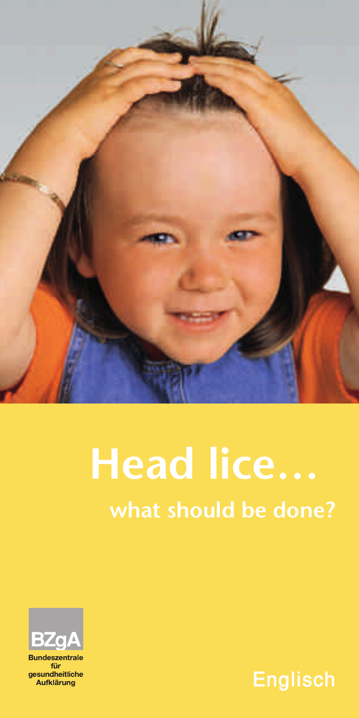

# **Head lice… what should be done?**



für **aesundheitliche** Aufklärung

Englisch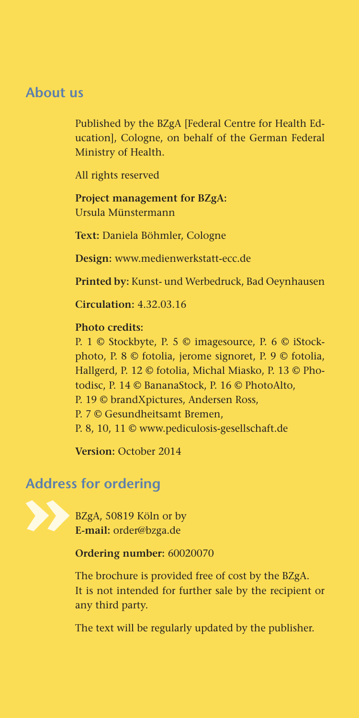## **About us**

Published by the BZgA [Federal Centre for Health Education], Cologne, on behalf of the German Federal Ministry of Health.

All rights reserved

**Project management for BZgA:** Ursula Münstermann

**Text:** Daniela Böhmler, Cologne

**Design:** www.medienwerkstatt-ecc.de

**Printed by:** Kunst- und Werbedruck, Bad Oeynhausen

**Circulation:** 4.32.03.16

**Photo credits:**

P. 1 © Stockbyte, P. 5 © imagesource, P. 6 © iStockphoto, P. 8 © fotolia, jerome signoret, P. 9 © fotolia, Hallgerd, P. 12 © fotolia, Michal Miasko, P. 13 © Photodisc, P. 14 © BananaStock, P. 16 © PhotoAlto, P. 19 © brandXpictures, Andersen Ross, P. 7 © Gesundheitsamt Bremen, P. 8, 10, 11 © www.pediculosis-gesellschaft.de

**Version:** October 2014

# **Address for ordering**

BZgA, 50819 Köln or by **E-mail:** order@bzga.de

**Ordering number:** 60020070

The brochure is provided free of cost by the BZgA. It is not intended for further sale by the recipient or any third party.

The text will be regularly updated by the publisher.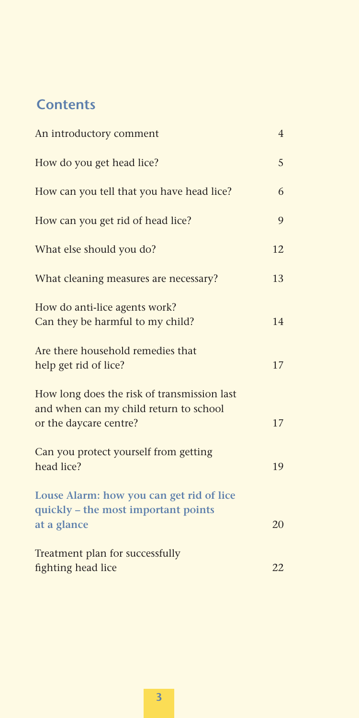# **Contents**

| An introductory comment                                                                                         | $\overline{4}$ |
|-----------------------------------------------------------------------------------------------------------------|----------------|
| How do you get head lice?                                                                                       | 5              |
| How can you tell that you have head lice?                                                                       | 6              |
| How can you get rid of head lice?                                                                               | 9              |
| What else should you do?                                                                                        | 12             |
| What cleaning measures are necessary?                                                                           | 13             |
| How do anti-lice agents work?<br>Can they be harmful to my child?                                               | 14             |
| Are there household remedies that<br>help get rid of lice?                                                      | 17             |
| How long does the risk of transmission last<br>and when can my child return to school<br>or the daycare centre? | 17             |
| Can you protect yourself from getting<br>head lice?                                                             | 19             |
| Louse Alarm: how you can get rid of lice<br>quickly - the most important points<br>at a glance                  | 20             |
| Treatment plan for successfully<br>fighting head lice                                                           | 22             |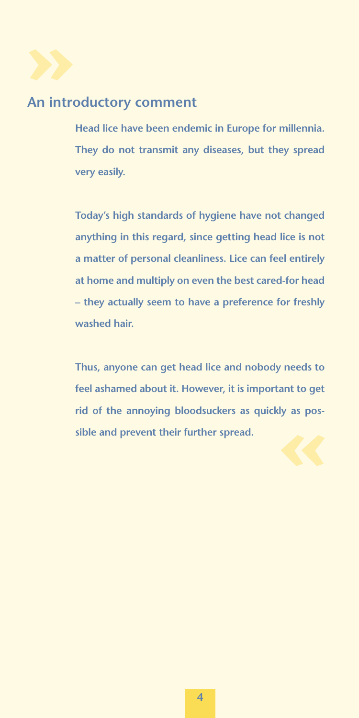

# **An introductory comment**

**Head lice have been endemic in Europe for millennia. They do not transmit any diseases, but they spread very easily.**

**Today's high standards of hygiene have not changed anything in this regard, since getting head lice is not a matter of personal cleanliness. Lice can feel entirely at home and multiply on even the best cared-for head – they actually seem to have a preference for freshly washed hair.**

**Thus, anyone can get head lice and nobody needs to feel ashamed about it. However, it is important to get rid of the annoying bloodsuckers as quickly as possible and prevent their further spread.**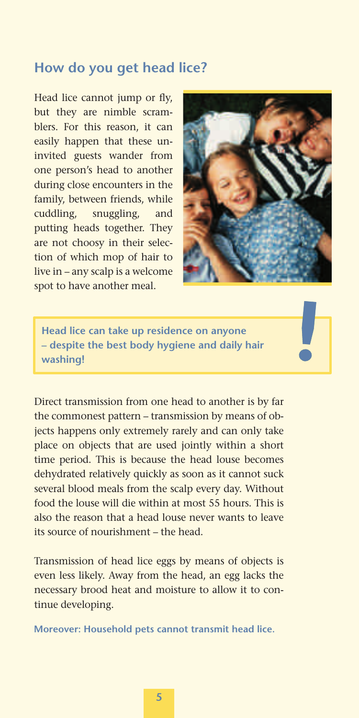# **How do you get head lice?**

Head lice cannot jump or fly, but they are nimble scramblers. For this reason, it can easily happen that these uninvited guests wander from one person's head to another during close encounters in the family, between friends, while cuddling, snuggling, and putting heads together. They are not choosy in their selection of which mop of hair to live in – any scalp is a welcome spot to have another meal.



**Head lice can take up residence on anyone – despite the best body hygiene and daily hair washing!**

Direct transmission from one head to another is by far the commonest pattern – transmission by means of objects happens only extremely rarely and can only take place on objects that are used jointly within a short time period. This is because the head louse becomes dehydrated relatively quickly as soon as it cannot suck several blood meals from the scalp every day. Without food the louse will die within at most 55 hours. This is also the reason that a head louse never wants to leave its source of nourishment – the head.

Transmission of head lice eggs by means of objects is even less likely. Away from the head, an egg lacks the necessary brood heat and moisture to allow it to continue developing.

**Moreover: Household pets cannot transmit head lice.**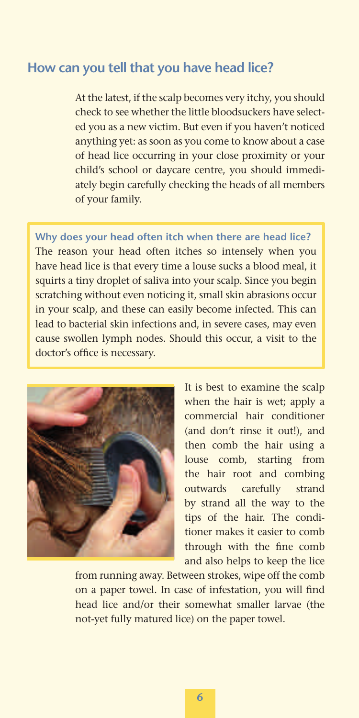## **How can you tell that you have head lice?**

At the latest, if the scalp becomes very itchy, you should check to see whether the little bloodsuckers have selected you as a new victim. But even if you haven't noticed anything yet: as soon as you come to know about a case of head lice occurring in your close proximity or your child's school or daycare centre, you should immediately begin carefully checking the heads of all members of your family.

**Why does your head often itch when there are head lice?** The reason your head often itches so intensely when you have head lice is that every time a louse sucks a blood meal, it squirts a tiny droplet of saliva into your scalp. Since you begin scratching without even noticing it, small skin abrasions occur in your scalp, and these can easily become infected. This can lead to bacterial skin infections and, in severe cases, may even cause swollen lymph nodes. Should this occur, a visit to the doctor's office is necessary.



It is best to examine the scalp when the hair is wet; apply a commercial hair conditioner (and don't rinse it out!), and then comb the hair using a louse comb, starting from the hair root and combing outwards carefully strand by strand all the way to the tips of the hair. The conditioner makes it easier to comb through with the fine comb and also helps to keep the lice

from running away. Between strokes, wipe off the comb on a paper towel. In case of infestation, you will find head lice and/or their somewhat smaller larvae (the not-yet fully matured lice) on the paper towel.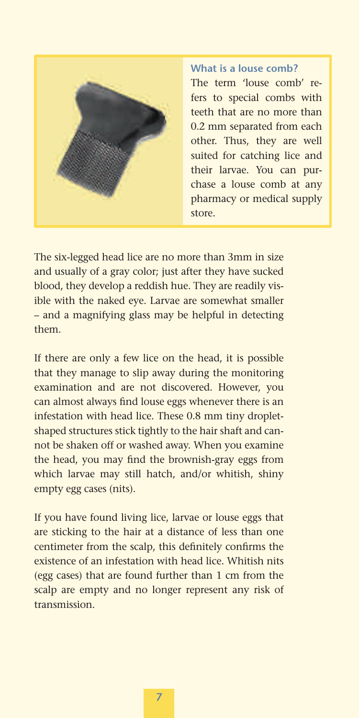

**What is a louse comb?** The term 'louse comb' refers to special combs with teeth that are no more than 0.2 mm separated from each other. Thus, they are well suited for catching lice and their larvae. You can purchase a louse comb at any pharmacy or medical supply store.

The six-legged head lice are no more than 3mm in size and usually of a gray color; just after they have sucked blood, they develop a reddish hue. They are readily visible with the naked eye. Larvae are somewhat smaller – and a magnifying glass may be helpful in detecting them.

If there are only a few lice on the head, it is possible that they manage to slip away during the monitoring examination and are not discovered. However, you can almost always find louse eggs whenever there is an infestation with head lice. These 0.8 mm tiny dropletshaped structures stick tightly to the hair shaft and cannot be shaken off or washed away. When you examine the head, you may find the brownish-gray eggs from which larvae may still hatch, and/or whitish, shiny empty egg cases (nits).

If you have found living lice, larvae or louse eggs that are sticking to the hair at a distance of less than one centimeter from the scalp, this definitely confirms the existence of an infestation with head lice. Whitish nits (egg cases) that are found further than 1 cm from the scalp are empty and no longer represent any risk of transmission.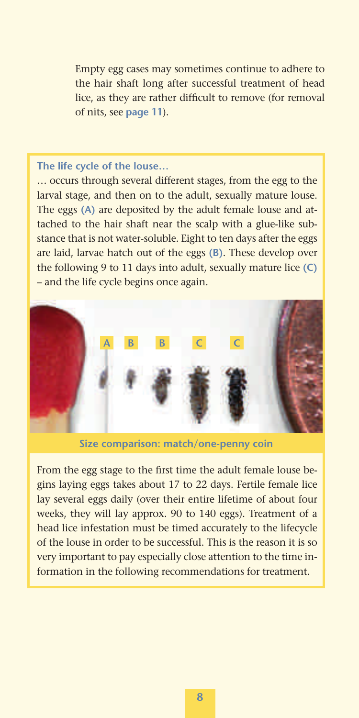Empty egg cases may sometimes continue to adhere to the hair shaft long after successful treatment of head lice, as they are rather difficult to remove (for removal of nits, see **page 11**).

#### **The life cycle of the louse…**

… occurs through several different stages, from the egg to the larval stage, and then on to the adult, sexually mature louse. The eggs **(A)** are deposited by the adult female louse and attached to the hair shaft near the scalp with a glue-like substance that is not water-soluble. Eight to ten days after the eggs are laid, larvae hatch out of the eggs **(B)**. These develop over the following 9 to 11 days into adult, sexually mature lice **(C)** – and the life cycle begins once again.



**Size comparison: match/one-penny coin**

From the egg stage to the first time the adult female louse begins laying eggs takes about 17 to 22 days. Fertile female lice lay several eggs daily (over their entire lifetime of about four weeks, they will lay approx. 90 to 140 eggs). Treatment of a head lice infestation must be timed accurately to the lifecycle of the louse in order to be successful. This is the reason it is so very important to pay especially close attention to the time information in the following recommendations for treatment.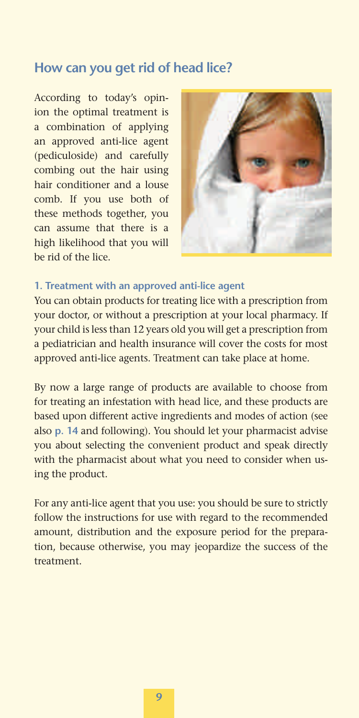# **How can you get rid of head lice?**

According to today's opinion the optimal treatment is a combination of applying an approved anti-lice agent (pediculoside) and carefully combing out the hair using hair conditioner and a louse comb. If you use both of these methods together, you can assume that there is a high likelihood that you will be rid of the lice.



### **1. Treatment with an approved anti-lice agent**

You can obtain products for treating lice with a prescription from your doctor, or without a prescription at your local pharmacy. If your child is less than 12 years old you will get a prescription from a pediatrician and health insurance will cover the costs for most approved anti-lice agents. Treatment can take place at home.

By now a large range of products are available to choose from for treating an infestation with head lice, and these products are based upon different active ingredients and modes of action (see also **p. 14** and following). You should let your pharmacist advise you about selecting the convenient product and speak directly with the pharmacist about what you need to consider when using the product.

For any anti-lice agent that you use: you should be sure to strictly follow the instructions for use with regard to the recommended amount, distribution and the exposure period for the preparation, because otherwise, you may jeopardize the success of the treatment.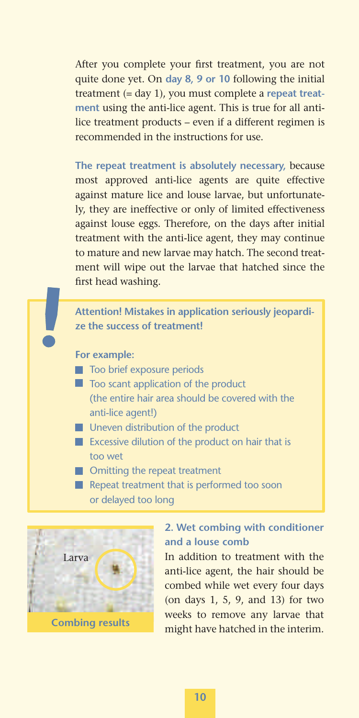After you complete your first treatment, you are not quite done yet. On **day 8, 9 or 10** following the initial treatment (= day 1), you must complete a **repeat treatment** using the anti-lice agent. This is true for all antilice treatment products – even if a different regimen is recommended in the instructions for use.

**The repeat treatment is absolutely necessary,** because most approved anti-lice agents are quite effective against mature lice and louse larvae, but unfortunately, they are ineffective or only of limited effectiveness against louse eggs. Therefore, on the days after initial treatment with the anti-lice agent, they may continue to mature and new larvae may hatch. The second treatment will wipe out the larvae that hatched since the first head washing.

**Attention! Mistakes in application seriously jeopardize the success of treatment!**

**For example:**

- **T** Too brief exposure periods
- $\blacksquare$  Too scant application of the product (the entire hair area should be covered with the anti-lice agent!)
- **Uneven distribution of the product**
- **EXCESSIVE dilution of the product on hair that is** too wet
- **Omitting the repeat treatment**
- Repeat treatment that is performed too soon or delayed too long



## **2. Wet combing with conditioner and a louse comb**

In addition to treatment with the anti-lice agent, the hair should be combed while wet every four days (on days 1, 5, 9, and 13) for two weeks to remove any larvae that might have hatched in the interim.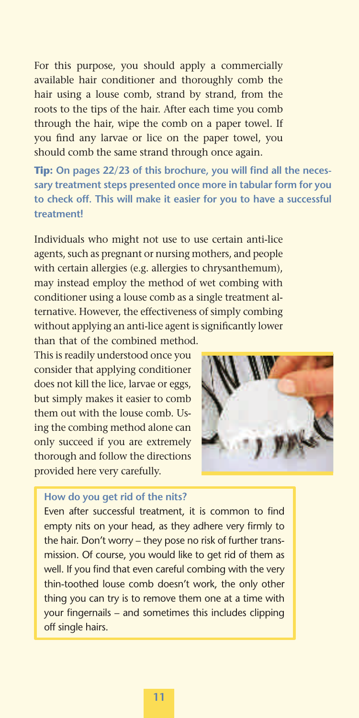For this purpose, you should apply a commercially available hair conditioner and thoroughly comb the hair using a louse comb, strand by strand, from the roots to the tips of the hair. After each time you comb through the hair, wipe the comb on a paper towel. If you find any larvae or lice on the paper towel, you should comb the same strand through once again.

**Tip:** On pages 22/23 of this brochure, you will find all the neces**sary treatment steps presented once more in tabular form for you to check off. This will make it easier for you to have a successful treatment!**

Individuals who might not use to use certain anti-lice agents, such as pregnant or nursing mothers, and people with certain allergies (e.g. allergies to chrysanthemum), may instead employ the method of wet combing with conditioner using a louse comb as a single treatment alternative. However, the effectiveness of simply combing without applying an anti-lice agent is significantly lower than that of the combined method.

This is readily understood once you consider that applying conditioner does not kill the lice, larvae or eggs, but simply makes it easier to comb them out with the louse comb. Using the combing method alone can only succeed if you are extremely thorough and follow the directions provided here very carefully.



#### **How do you get rid of the nits?**

Even after successful treatment, it is common to find empty nits on your head, as they adhere very firmly to the hair. Don't worry – they pose no risk of further transmission. Of course, you would like to get rid of them as well. If you find that even careful combing with the very thin-toothed louse comb doesn't work, the only other thing you can try is to remove them one at a time with your fingernails – and sometimes this includes clipping off single hairs.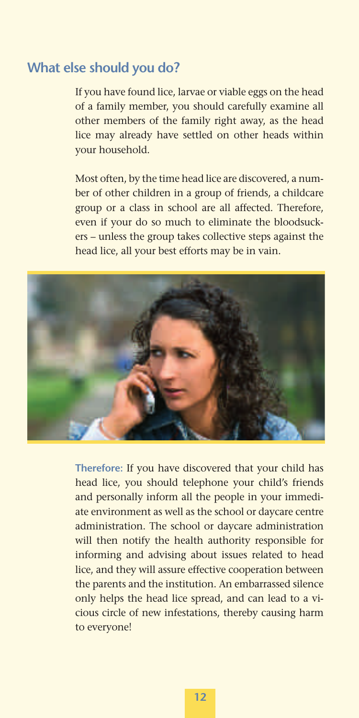## **What else should you do?**

If you have found lice, larvae or viable eggs on the head of a family member, you should carefully examine all other members of the family right away, as the head lice may already have settled on other heads within your household.

Most often, by the time head lice are discovered, a number of other children in a group of friends, a childcare group or a class in school are all affected. Therefore, even if your do so much to eliminate the bloodsuckers – unless the group takes collective steps against the head lice, all your best efforts may be in vain.



**Therefore:** If you have discovered that your child has head lice, you should telephone your child's friends and personally inform all the people in your immediate environment as well as the school or daycare centre administration. The school or daycare administration will then notify the health authority responsible for informing and advising about issues related to head lice, and they will assure effective cooperation between the parents and the institution. An embarrassed silence only helps the head lice spread, and can lead to a vicious circle of new infestations, thereby causing harm to everyone!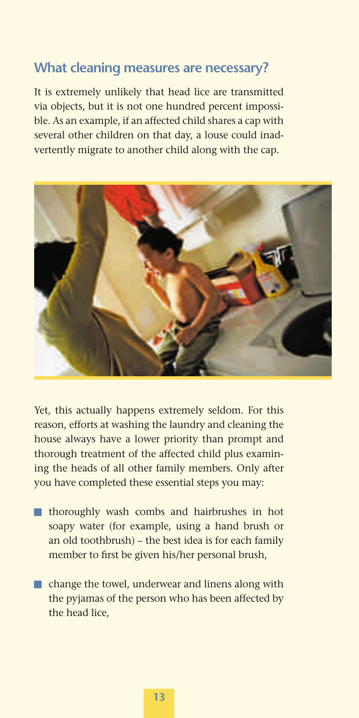## **What cleaning measures are necessary?**

It is extremely unlikely that head lice are transmitted via objects, but it is not one hundred percent impossible. As an example, if an affected child shares a cap with several other children on that day, a louse could inadvertently migrate to another child along with the cap.



Yet, this actually happens extremely seldom. For this reason, efforts at washing the laundry and cleaning the house always have a lower priority than prompt and thorough treatment of the affected child plus examining the heads of all other family members. Only after you have completed these essential steps you may:

- thoroughly wash combs and hairbrushes in hot soapy water (for example, using a hand brush or an old toothbrush) – the best idea is for each family member to first be given his/her personal brush,
- change the towel, underwear and linens along with the pyjamas of the person who has been affected by the head lice,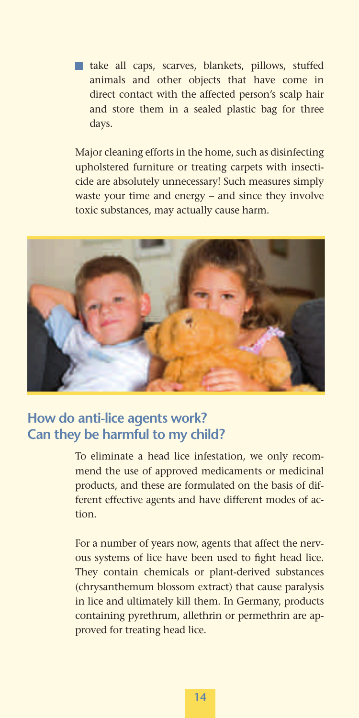take all caps, scarves, blankets, pillows, stuffed animals and other objects that have come in direct contact with the affected person's scalp hair and store them in a sealed plastic bag for three days.

Major cleaning efforts in the home, such as disinfecting upholstered furniture or treating carpets with insecticide are absolutely unnecessary! Such measures simply waste your time and energy – and since they involve toxic substances, may actually cause harm.



# **How do anti-lice agents work? Can they be harmful to my child?**

To eliminate a head lice infestation, we only recommend the use of approved medicaments or medicinal products, and these are formulated on the basis of different effective agents and have different modes of action.

For a number of years now, agents that affect the nervous systems of lice have been used to fight head lice. They contain chemicals or plant-derived substances (chrysanthemum blossom extract) that cause paralysis in lice and ultimately kill them. In Germany, products containing pyrethrum, allethrin or permethrin are approved for treating head lice.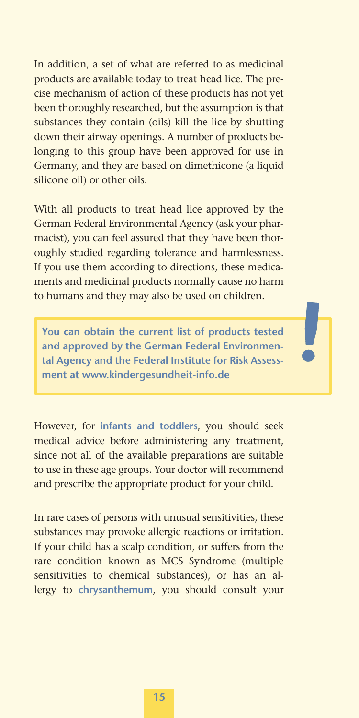In addition, a set of what are referred to as medicinal products are available today to treat head lice. The precise mechanism of action of these products has not yet been thoroughly researched, but the assumption is that substances they contain (oils) kill the lice by shutting down their airway openings. A number of products belonging to this group have been approved for use in Germany, and they are based on dimethicone (a liquid silicone oil) or other oils.

With all products to treat head lice approved by the German Federal Environmental Agency (ask your pharmacist), you can feel assured that they have been thoroughly studied regarding tolerance and harmlessness. If you use them according to directions, these medicaments and medicinal products normally cause no harm to humans and they may also be used on children.

**You can obtain the current list of products tested and approved by the German Federal Environmental Agency and the Federal Institute for Risk Assessment at www.kindergesundheit-info.de**

However, for **infants and toddlers**, you should seek medical advice before administering any treatment, since not all of the available preparations are suitable to use in these age groups. Your doctor will recommend and prescribe the appropriate product for your child.

In rare cases of persons with unusual sensitivities, these substances may provoke allergic reactions or irritation. If your child has a scalp condition, or suffers from the rare condition known as MCS Syndrome (multiple sensitivities to chemical substances), or has an allergy to **chrysanthemum**, you should consult your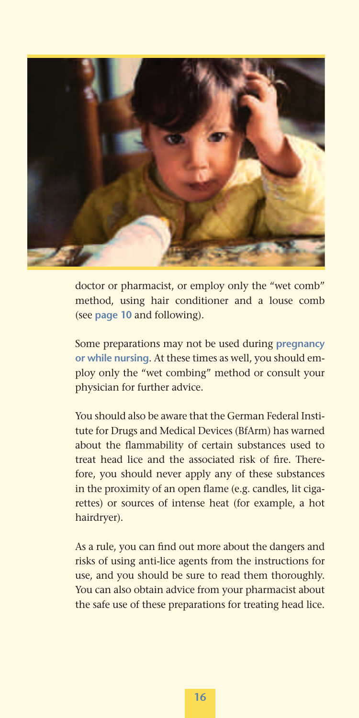

doctor or pharmacist, or employ only the "wet comb" method, using hair conditioner and a louse comb (see **page 10** and following).

Some preparations may not be used during **pregnancy or while nursing**. At these times as well, you should employ only the "wet combing" method or consult your physician for further advice.

You should also be aware that the German Federal Institute for Drugs and Medical Devices (BfArm) has warned about the flammability of certain substances used to treat head lice and the associated risk of fire. Therefore, you should never apply any of these substances in the proximity of an open flame (e.g. candles, lit cigarettes) or sources of intense heat (for example, a hot hairdryer).

As a rule, you can find out more about the dangers and risks of using anti-lice agents from the instructions for use, and you should be sure to read them thoroughly. You can also obtain advice from your pharmacist about the safe use of these preparations for treating head lice.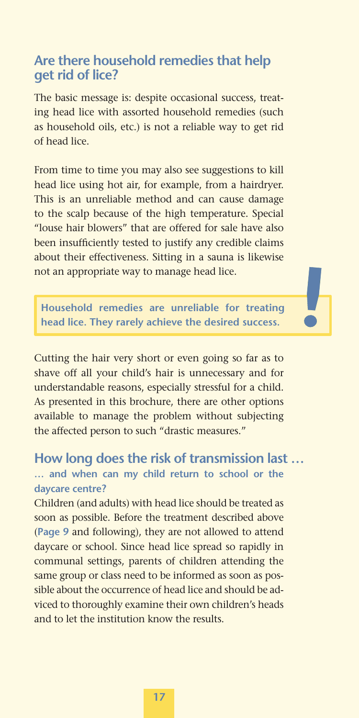## **Are there household remedies that help get rid of lice?**

The basic message is: despite occasional success, treating head lice with assorted household remedies (such as household oils, etc.) is not a reliable way to get rid of head lice.

From time to time you may also see suggestions to kill head lice using hot air, for example, from a hairdryer. This is an unreliable method and can cause damage to the scalp because of the high temperature. Special "louse hair blowers" that are offered for sale have also been insufficiently tested to justify any credible claims about their effectiveness. Sitting in a sauna is likewise not an appropriate way to manage head lice.

**Household remedies are unreliable for treating head lice. They rarely achieve the desired success.**

Cutting the hair very short or even going so far as to shave off all your child's hair is unnecessary and for understandable reasons, especially stressful for a child. As presented in this brochure, there are other options available to manage the problem without subjecting the affected person to such "drastic measures."

## **… and when can my child return to school or the daycare centre? How long does the risk of transmission last …**

Children (and adults) with head lice should be treated as soon as possible. Before the treatment described above (**Page 9** and following), they are not allowed to attend daycare or school. Since head lice spread so rapidly in communal settings, parents of children attending the same group or class need to be informed as soon as possible about the occurrence of head lice and should be adviced to thoroughly examine their own children's heads and to let the institution know the results.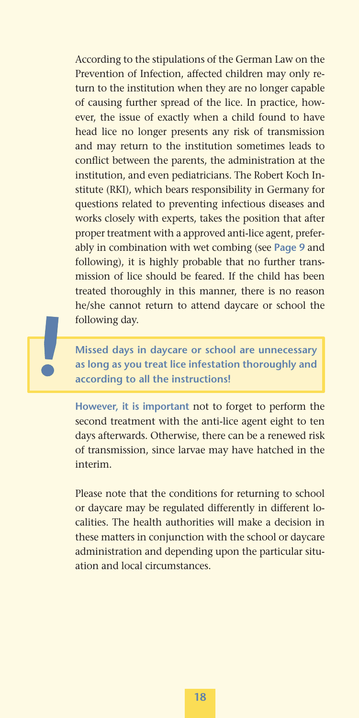According to the stipulations of the German Law on the Prevention of Infection, affected children may only return to the institution when they are no longer capable of causing further spread of the lice. In practice, however, the issue of exactly when a child found to have head lice no longer presents any risk of transmission and may return to the institution sometimes leads to conflict between the parents, the administration at the institution, and even pediatricians. The Robert Koch Institute (RKI), which bears responsibility in Germany for questions related to preventing infectious diseases and works closely with experts, takes the position that after proper treatment with a approved anti-lice agent, preferably in combination with wet combing (see **Page 9** and following), it is highly probable that no further transmission of lice should be feared. If the child has been treated thoroughly in this manner, there is no reason he/she cannot return to attend daycare or school the following day.

**Missed days in daycare or school are unnecessary as long as you treat lice infestation thoroughly and according to all the instructions!**

**However, it is important** not to forget to perform the second treatment with the anti-lice agent eight to ten days afterwards. Otherwise, there can be a renewed risk of transmission, since larvae may have hatched in the interim.

Please note that the conditions for returning to school or daycare may be regulated differently in different localities. The health authorities will make a decision in these matters in conjunction with the school or daycare administration and depending upon the particular situation and local circumstances.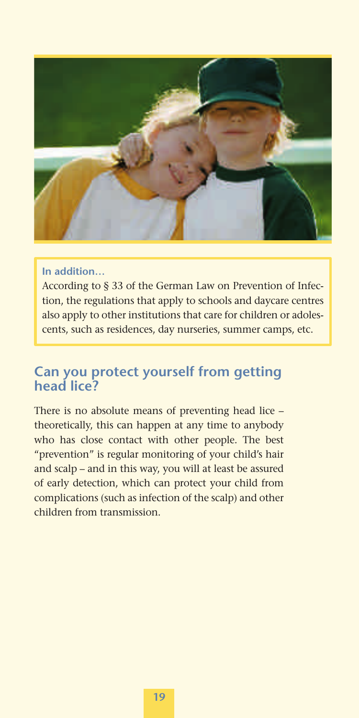

#### **In addition…**

According to § 33 of the German Law on Prevention of Infection, the regulations that apply to schools and daycare centres also apply to other institutions that care for children or adolescents, such as residences, day nurseries, summer camps, etc.

# **Can you protect yourself from getting head lice?**

There is no absolute means of preventing head lice – theoretically, this can happen at any time to anybody who has close contact with other people. The best "prevention" is regular monitoring of your child's hair and scalp – and in this way, you will at least be assured of early detection, which can protect your child from complications (such as infection of the scalp) and other children from transmission.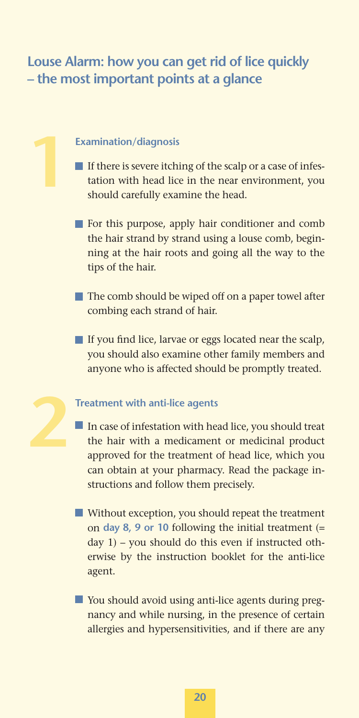# **Louse Alarm: how you can get rid of lice quickly – the most important points at a glance**

#### **Examination/diagnosis**

**1**

- If there is severe itching of the scalp or a case of infestation with head lice in the near environment, you should carefully examine the head.
- **For this purpose, apply hair conditioner and comb** the hair strand by strand using a louse comb, beginning at the hair roots and going all the way to the tips of the hair.
- The comb should be wiped off on a paper towel after combing each strand of hair.
- $\blacksquare$  If you find lice, larvae or eggs located near the scalp. you should also examine other family members and anyone who is affected should be promptly treated.

#### **Treatment with anti-lice agents 2**

- In case of infestation with head lice, you should treat the hair with a medicament or medicinal product approved for the treatment of head lice, which you can obtain at your pharmacy. Read the package instructions and follow them precisely.
- Without exception, you should repeat the treatment on **day 8, 9 or 10** following the initial treatment (= day 1) – you should do this even if instructed otherwise by the instruction booklet for the anti-lice agent.
- You should avoid using anti-lice agents during pregnancy and while nursing, in the presence of certain allergies and hypersensitivities, and if there are any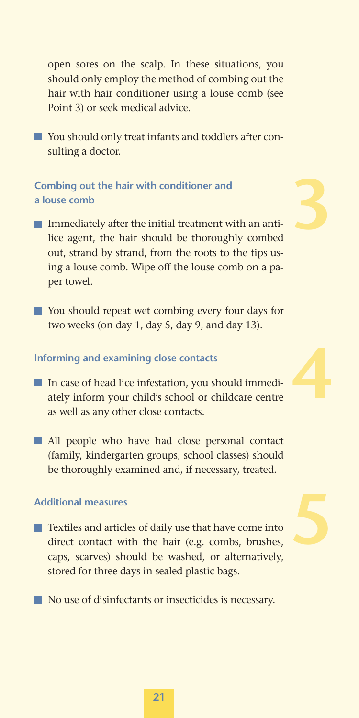open sores on the scalp. In these situations, you should only employ the method of combing out the hair with hair conditioner using a louse comb (see Point 3) or seek medical advice.

You should only treat infants and toddlers after consulting a doctor.

## **Combing out the hair with conditioner and a louse comb**

Immediately after the initial treatment with an antilice agent, the hair should be thoroughly combed out, strand by strand, from the roots to the tips using a louse comb. Wipe off the louse comb on a paper towel.

**3**

■ You should repeat wet combing every four days for two weeks (on day 1, day 5, day 9, and day 13).

#### **Informing and examining close contacts**

- In case of head lice infestation, you should immediately inform your child's school or childcare centre as well as any other close contacts.
- **All people who have had close personal contact** (family, kindergarten groups, school classes) should be thoroughly examined and, if necessary, treated.

## **Additional measures**

- **Textiles and articles of daily use that have come into** direct contact with the hair (e.g. combs, brushes, caps, scarves) should be washed, or alternatively, stored for three days in sealed plastic bags.
- No use of disinfectants or insecticides is necessary.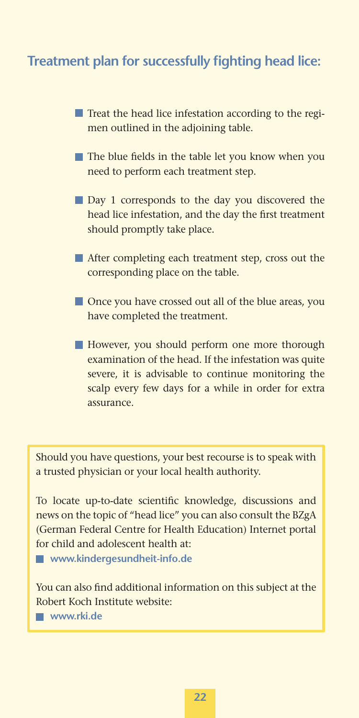# **Treatment plan for successfully fighting head lice:**

- Treat the head lice infestation according to the regimen outlined in the adjoining table.
- $\blacksquare$  The blue fields in the table let you know when you need to perform each treatment step.
- **Day 1** corresponds to the day you discovered the head lice infestation, and the day the first treatment should promptly take place.
- After completing each treatment step, cross out the corresponding place on the table.
- **Once you have crossed out all of the blue areas, you** have completed the treatment.
- However, you should perform one more thorough examination of the head. If the infestation was quite severe, it is advisable to continue monitoring the scalp every few days for a while in order for extra assurance.

Should you have questions, your best recourse is to speak with a trusted physician or your local health authority.

To locate up-to-date scientific knowledge, discussions and news on the topic of "head lice" you can also consult the BZgA (German Federal Centre for Health Education) Internet portal for child and adolescent health at:

 **www.kindergesundheit-info.de**

You can also find additional information on this subject at the Robert Koch Institute website:

 **www.rki.de**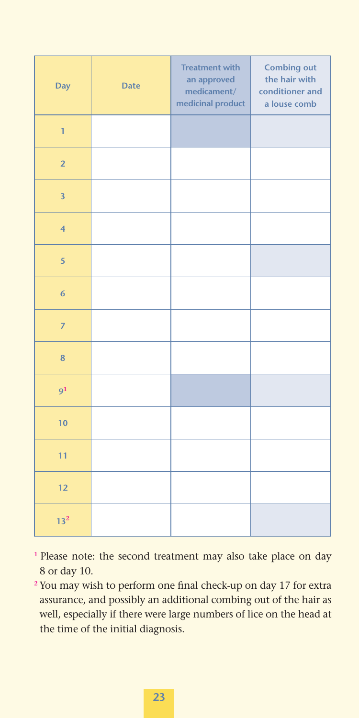| Day                     | <b>Date</b> | <b>Treatment with</b><br>an approved<br>medicament/<br>medicinal product | <b>Combing out</b><br>the hair with<br>conditioner and<br>a louse comb |
|-------------------------|-------------|--------------------------------------------------------------------------|------------------------------------------------------------------------|
| $\mathbf{1}$            |             |                                                                          |                                                                        |
| $\overline{2}$          |             |                                                                          |                                                                        |
| $\overline{\mathbf{3}}$ |             |                                                                          |                                                                        |
| $\overline{\mathbf{4}}$ |             |                                                                          |                                                                        |
| $\overline{\mathbf{5}}$ |             |                                                                          |                                                                        |
| $\overline{6}$          |             |                                                                          |                                                                        |
| $\overline{7}$          |             |                                                                          |                                                                        |
| $\bf{8}$                |             |                                                                          |                                                                        |
| 9 <sup>1</sup>          |             |                                                                          |                                                                        |
| 10                      |             |                                                                          |                                                                        |
| $\overline{11}$         |             |                                                                          |                                                                        |
| 12                      |             |                                                                          |                                                                        |
| 13 <sup>2</sup>         |             |                                                                          |                                                                        |

- **<sup>1</sup>**Please note: the second treatment may also take place on day 8 or day 10.
- <sup>2</sup> You may wish to perform one final check-up on day 17 for extra assurance, and possibly an additional combing out of the hair as well, especially if there were large numbers of lice on the head at the time of the initial diagnosis.